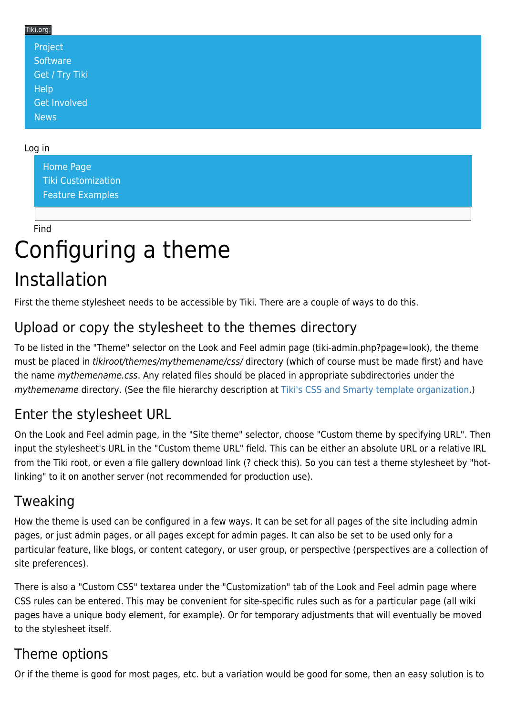#### Tiki.org: [Project](https://tiki.org/Project Introduction) **[Software](https://tiki.org/Software Overview and Model)** [Get / Try Tiki](https://tiki.org/Get Tiki - Try Tiki) **[Help](https://tiki.org/Get Help)** [Get Involved](https://tiki.org/Get Involved)

#### Log in

[News](https://tiki.org/News)

[Home Page](https://themes.tiki.org/Themes) [Tiki Customization](https://themes.tiki.org/Tiki-Customization) [Feature Examples](#page--1-0)

Find

# Configuring a theme Installation

First the theme stylesheet needs to be accessible by Tiki. There are a couple of ways to do this.

## Upload or copy the stylesheet to the themes directory

To be listed in the "Theme" selector on the Look and Feel admin page (tiki-admin.php?page=look), the theme must be placed in tikiroot/themes/mythemename/css/ directory (which of course must be made first) and have the name mythemename.css. Any related files should be placed in appropriate subdirectories under the mythemename directory. (See the file hierarchy description at [Tiki's CSS and Smarty template organization](https://themes.tiki.org/Tiki).)

### Enter the stylesheet URL

On the Look and Feel admin page, in the "Site theme" selector, choose "Custom theme by specifying URL". Then input the stylesheet's URL in the "Custom theme URL" field. This can be either an absolute URL or a relative IRL from the Tiki root, or even a file gallery download link (? check this). So you can test a theme stylesheet by "hotlinking" to it on another server (not recommended for production use).

### Tweaking

How the theme is used can be configured in a few ways. It can be set for all pages of the site including admin pages, or just admin pages, or all pages except for admin pages. It can also be set to be used only for a particular feature, like blogs, or content category, or user group, or perspective (perspectives are a collection of site preferences).

There is also a "Custom CSS" textarea under the "Customization" tab of the Look and Feel admin page where CSS rules can be entered. This may be convenient for site-specific rules such as for a particular page (all wiki pages have a unique body element, for example). Or for temporary adjustments that will eventually be moved to the stylesheet itself.

### Theme options

Or if the theme is good for most pages, etc. but a variation would be good for some, then an easy solution is to